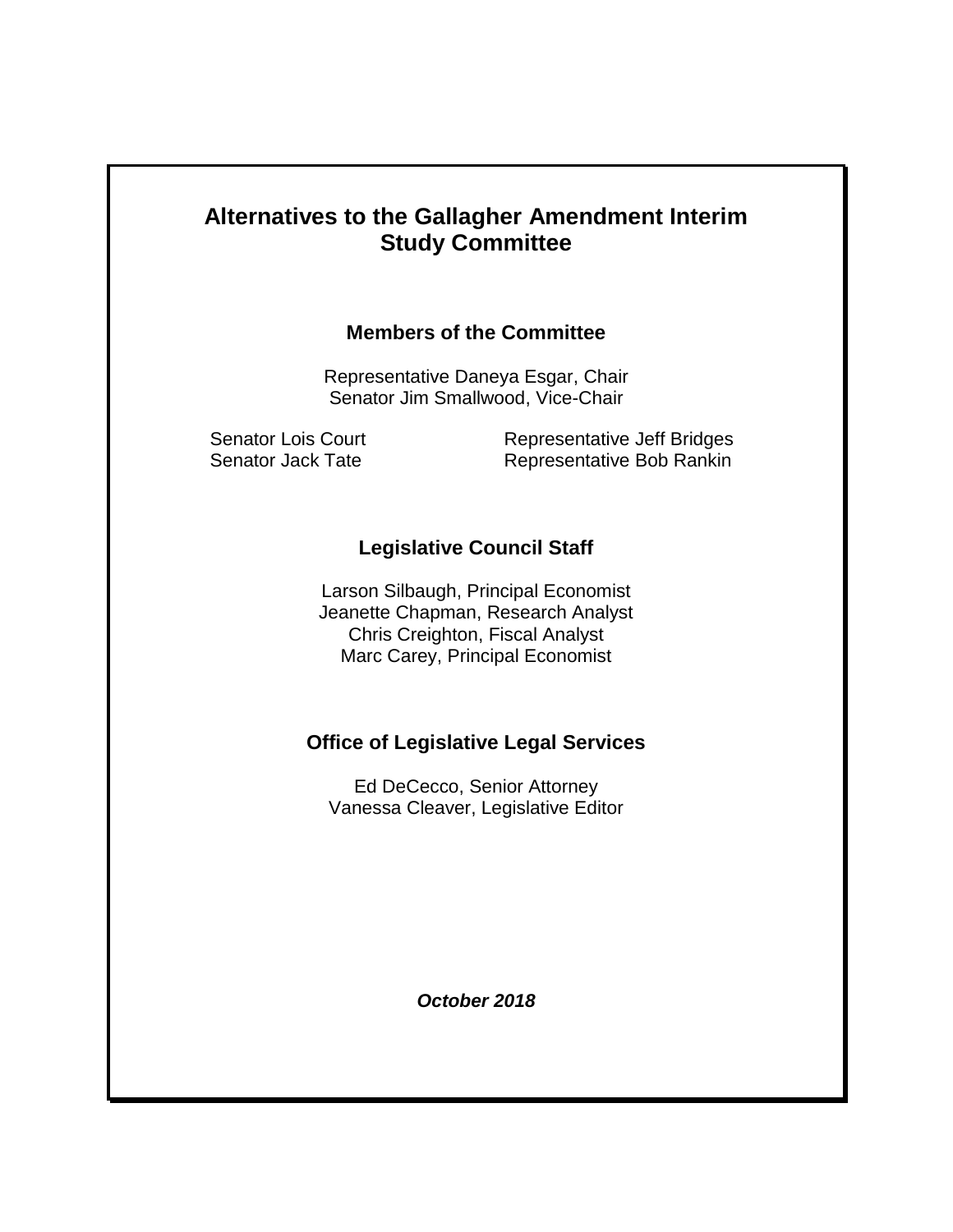# **Alternatives to the Gallagher Amendment Interim Study Committee**

### **Members of the Committee**

Representative Daneya Esgar, Chair Senator Jim Smallwood, Vice-Chair

Senator Lois Court Representative Jeff Bridges Senator Jack Tate Representative Bob Rankin

### **Legislative Council Staff**

Larson Silbaugh, Principal Economist Jeanette Chapman, Research Analyst Chris Creighton, Fiscal Analyst Marc Carey, Principal Economist

### **Office of Legislative Legal Services**

Ed DeCecco, Senior Attorney Vanessa Cleaver, Legislative Editor

*October 2018*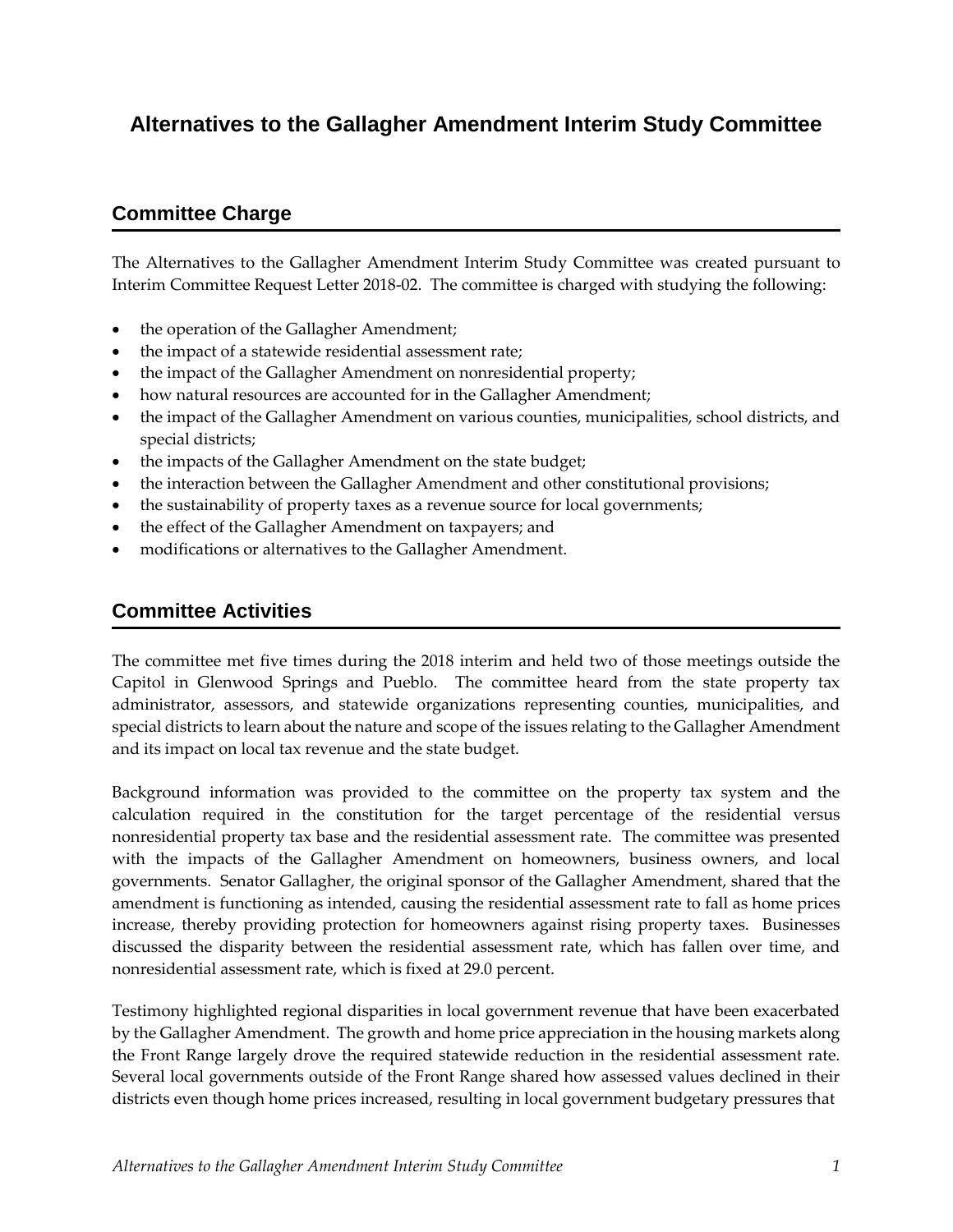## **Alternatives to the Gallagher Amendment Interim Study Committee**

## **Committee Charge**

The Alternatives to the Gallagher Amendment Interim Study Committee was created pursuant to Interim Committee Request Letter 2018-02. The committee is charged with studying the following:

- the operation of the Gallagher Amendment;
- the impact of a statewide residential assessment rate;
- the impact of the Gallagher Amendment on nonresidential property;
- how natural resources are accounted for in the Gallagher Amendment;
- the impact of the Gallagher Amendment on various counties, municipalities, school districts, and special districts;
- the impacts of the Gallagher Amendment on the state budget;
- the interaction between the Gallagher Amendment and other constitutional provisions;
- the sustainability of property taxes as a revenue source for local governments;
- the effect of the Gallagher Amendment on taxpayers; and
- modifications or alternatives to the Gallagher Amendment.

### **Committee Activities**

The committee met five times during the 2018 interim and held two of those meetings outside the Capitol in Glenwood Springs and Pueblo. The committee heard from the state property tax administrator, assessors, and statewide organizations representing counties, municipalities, and special districts to learn about the nature and scope of the issues relating to the Gallagher Amendment and its impact on local tax revenue and the state budget.

Background information was provided to the committee on the property tax system and the calculation required in the constitution for the target percentage of the residential versus nonresidential property tax base and the residential assessment rate. The committee was presented with the impacts of the Gallagher Amendment on homeowners, business owners, and local governments. Senator Gallagher, the original sponsor of the Gallagher Amendment, shared that the amendment is functioning as intended, causing the residential assessment rate to fall as home prices increase, thereby providing protection for homeowners against rising property taxes. Businesses discussed the disparity between the residential assessment rate, which has fallen over time, and nonresidential assessment rate, which is fixed at 29.0 percent.

Testimony highlighted regional disparities in local government revenue that have been exacerbated by the Gallagher Amendment. The growth and home price appreciation in the housing markets along the Front Range largely drove the required statewide reduction in the residential assessment rate. Several local governments outside of the Front Range shared how assessed values declined in their districts even though home prices increased, resulting in local government budgetary pressures that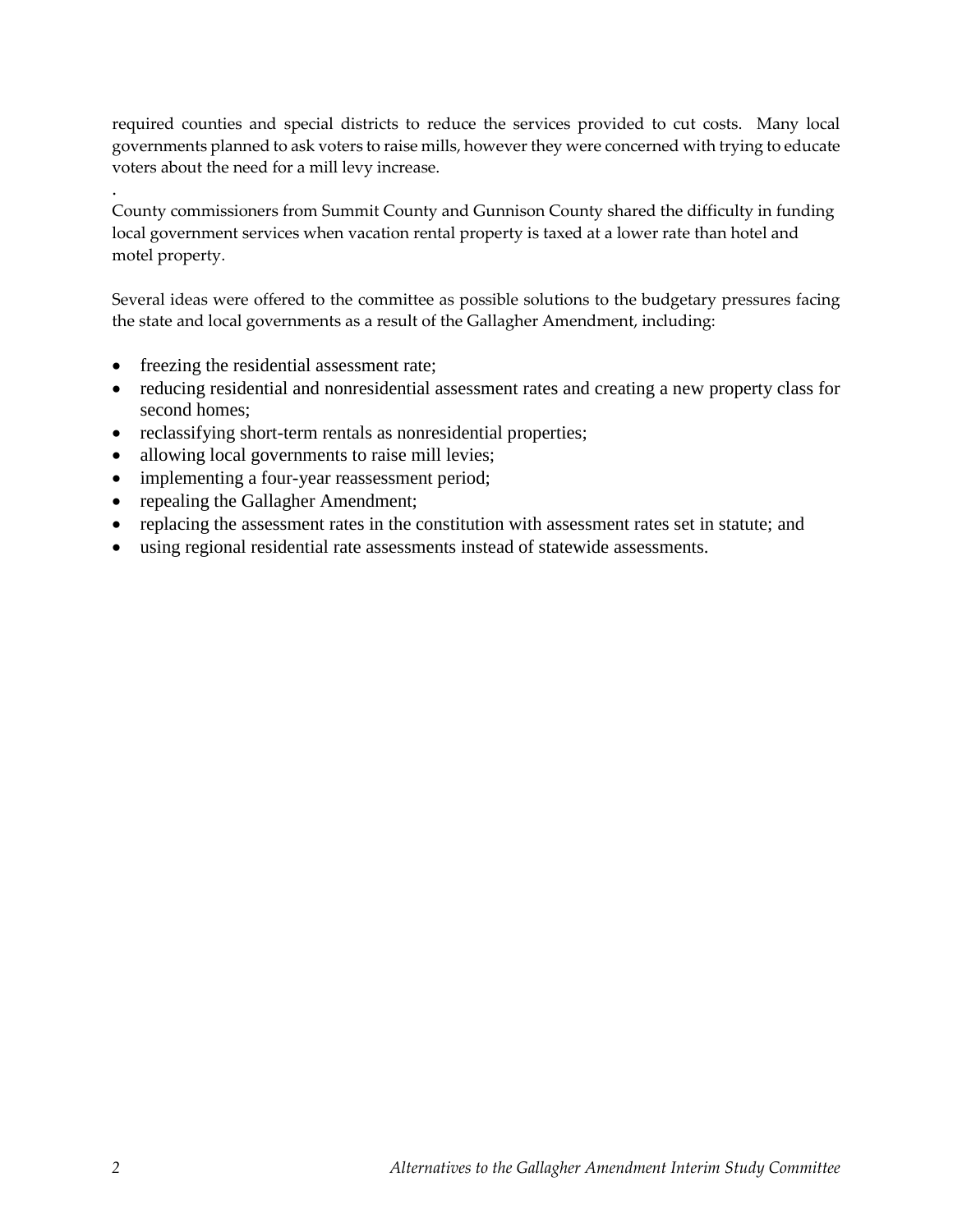required counties and special districts to reduce the services provided to cut costs. Many local governments planned to ask voters to raise mills, however they were concerned with trying to educate voters about the need for a mill levy increase.

County commissioners from Summit County and Gunnison County shared the difficulty in funding local government services when vacation rental property is taxed at a lower rate than hotel and motel property.

Several ideas were offered to the committee as possible solutions to the budgetary pressures facing the state and local governments as a result of the Gallagher Amendment, including:

• freezing the residential assessment rate;

.

- reducing residential and nonresidential assessment rates and creating a new property class for second homes;
- reclassifying short-term rentals as nonresidential properties;
- allowing local governments to raise mill levies;
- implementing a four-year reassessment period;
- repealing the Gallagher Amendment;
- replacing the assessment rates in the constitution with assessment rates set in statute; and
- using regional residential rate assessments instead of statewide assessments.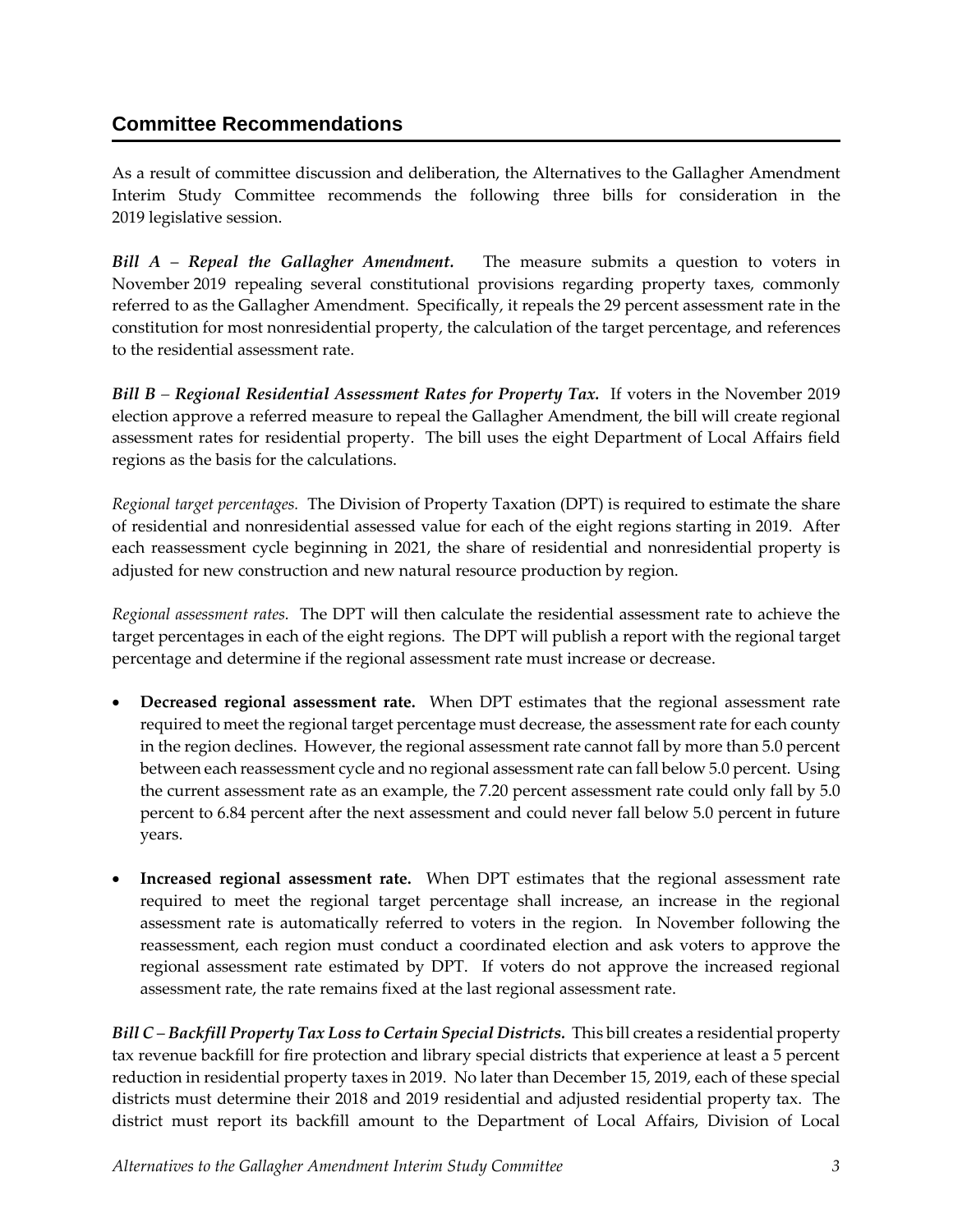## **Committee Recommendations**

As a result of committee discussion and deliberation, the Alternatives to the Gallagher Amendment Interim Study Committee recommends the following three bills for consideration in the 2019 legislative session.

*Bill A* – *Repeal the Gallagher Amendment.* The measure submits a question to voters in November 2019 repealing several constitutional provisions regarding property taxes, commonly referred to as the Gallagher Amendment. Specifically, it repeals the 29 percent assessment rate in the constitution for most nonresidential property, the calculation of the target percentage, and references to the residential assessment rate.

*Bill B – Regional Residential Assessment Rates for Property Tax.* If voters in the November 2019 election approve a referred measure to repeal the Gallagher Amendment, the bill will create regional assessment rates for residential property. The bill uses the eight Department of Local Affairs field regions as the basis for the calculations.

*Regional target percentages.* The Division of Property Taxation (DPT) is required to estimate the share of residential and nonresidential assessed value for each of the eight regions starting in 2019. After each reassessment cycle beginning in 2021, the share of residential and nonresidential property is adjusted for new construction and new natural resource production by region.

*Regional assessment rates.* The DPT will then calculate the residential assessment rate to achieve the target percentages in each of the eight regions. The DPT will publish a report with the regional target percentage and determine if the regional assessment rate must increase or decrease.

- **Decreased regional assessment rate.** When DPT estimates that the regional assessment rate required to meet the regional target percentage must decrease, the assessment rate for each county in the region declines. However, the regional assessment rate cannot fall by more than 5.0 percent between each reassessment cycle and no regional assessment rate can fall below 5.0 percent. Using the current assessment rate as an example, the 7.20 percent assessment rate could only fall by 5.0 percent to 6.84 percent after the next assessment and could never fall below 5.0 percent in future years.
- **Increased regional assessment rate.** When DPT estimates that the regional assessment rate required to meet the regional target percentage shall increase, an increase in the regional assessment rate is automatically referred to voters in the region. In November following the reassessment, each region must conduct a coordinated election and ask voters to approve the regional assessment rate estimated by DPT. If voters do not approve the increased regional assessment rate, the rate remains fixed at the last regional assessment rate.

*Bill C* – *Backfill Property Tax Loss to Certain Special Districts.* This bill creates a residential property tax revenue backfill for fire protection and library special districts that experience at least a 5 percent reduction in residential property taxes in 2019. No later than December 15, 2019, each of these special districts must determine their 2018 and 2019 residential and adjusted residential property tax. The district must report its backfill amount to the Department of Local Affairs, Division of Local